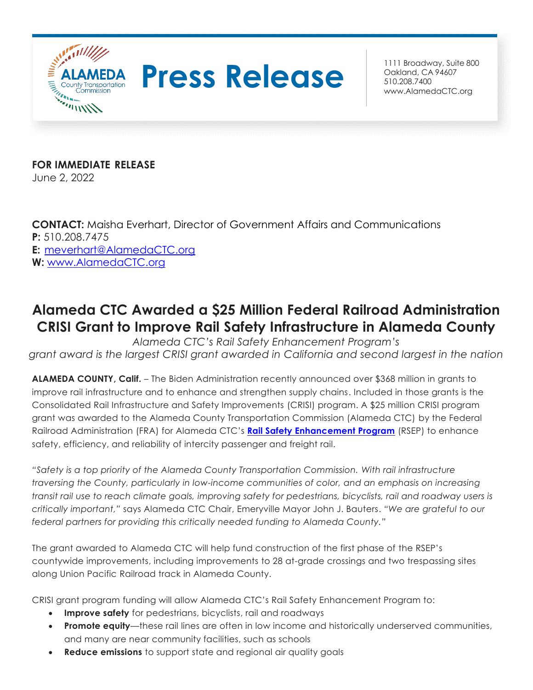

## **Press Release Building Calculate 800**

Oakland, CA 94607 510.208.7400 [www.AlamedaCTC.org](http://www.alamedactc.org/)

**FOR IMMEDIATE RELEASE**

June 2, 2022

**CONTACT:** Maisha Everhart, Director of Government Affairs and Communications **P:** 510.208.7475 **E:** [meverhart@AlamedaCTC.org](mailto:meverhart@AlamedaCTC.org) **W:** [www.AlamedaCTC.org](http://www.alamedactc.org/)

## **Alameda CTC Awarded a \$25 Million Federal Railroad Administration CRISI Grant to Improve Rail Safety Infrastructure in Alameda County**

*Alameda CTC's Rail Safety Enhancement Program's grant award is the largest CRISI grant awarded in California and second largest in the nation* 

**ALAMEDA COUNTY, Calif.** – The Biden Administration recently announced over \$368 million in grants to improve rail infrastructure and to enhance and strengthen supply chains. Included in those grants is the Consolidated Rail Infrastructure and Safety Improvements (CRISI) program. A \$25 million CRISI program grant was awarded to the Alameda County Transportation Commission (Alameda CTC) by the Federal Railroad Administration (FRA) for Alameda CTC's **[Rail Safety Enhancement Program](https://www.alamedactc.org/wp-content/uploads/2022/05/1392104_Rail_SEP_FS_20220527-01.pdf)** (RSEP) to enhance safety, efficiency, and reliability of intercity passenger and freight rail.

*"Safety is a top priority of the Alameda County Transportation Commission. With rail infrastructure traversing the County, particularly in low-income communities of color, and an emphasis on increasing transit rail use to reach climate goals, improving safety for pedestrians, bicyclists, rail and roadway users is critically important,"* says Alameda CTC Chair, Emeryville Mayor John J. Bauters. *"We are grateful to our federal partners for providing this critically needed funding to Alameda County."*

The grant awarded to Alameda CTC will help fund construction of the first phase of the RSEP's countywide improvements, including improvements to 28 at-grade crossings and two trespassing sites along Union Pacific Railroad track in Alameda County.

CRISI grant program funding will allow Alameda CTC's Rail Safety Enhancement Program to:

- **Improve safety** for pedestrians, bicyclists, rail and roadways
- **Promote equity**—these rail lines are often in low income and historically underserved communities, and many are near community facilities, such as schools
- **Reduce emissions** to support state and regional air quality goals